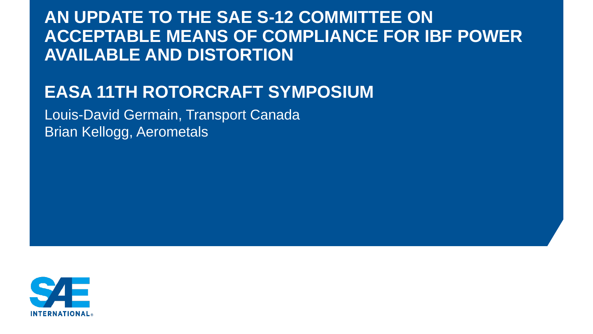# **AN UPDATE TO THE SAE S-12 COMMITTEE ON ACCEPTABLE MEANS OF COMPLIANCE FOR IBF POWER AVAILABLE AND DISTORTION**

# **EASA 11TH ROTORCRAFT SYMPOSIUM**

Louis-David Germain, Transport Canada Brian Kellogg, Aerometals

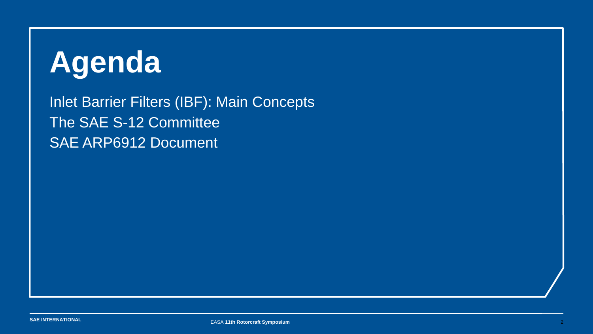# **Agenda**

Inlet Barrier Filters (IBF): Main Concepts The SAE S-12 Committee SAE ARP6912 Document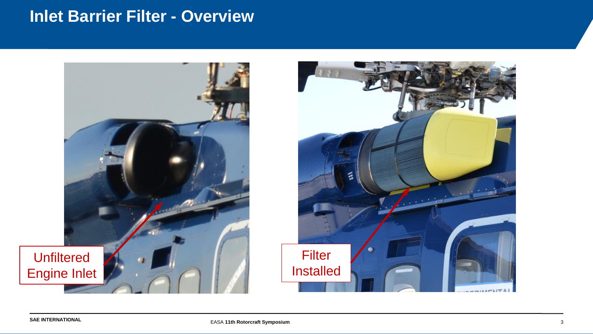## **Inlet Barrier Filter - Overview**



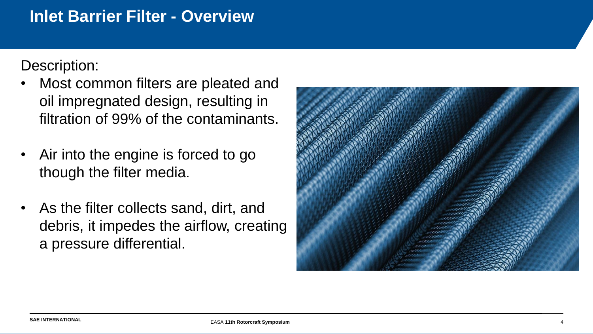## **Inlet Barrier Filter - Overview**

Description:

- Most common filters are pleated and oil impregnated design, resulting in filtration of 99% of the contaminants.
- Air into the engine is forced to go though the filter media.
- As the filter collects sand, dirt, and debris, it impedes the airflow, creating a pressure differential.

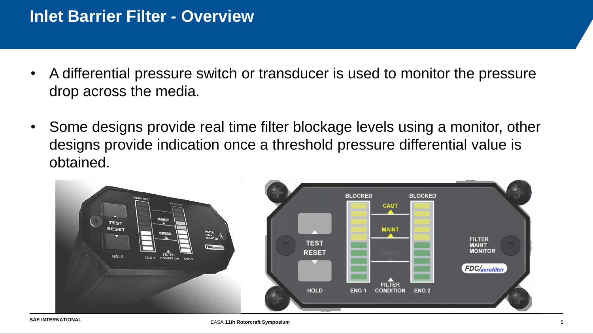- A differential pressure switch or transducer is used to monitor the pressure drop across the media.
- Some designs provide real time filter blockage levels using a monitor, other designs provide indication once a threshold pressure differential value is obtained.

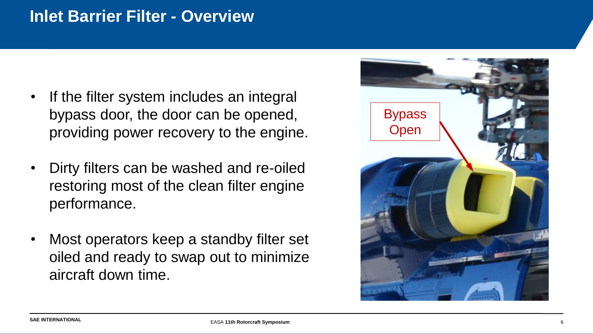#### **Inlet Barrier Filter - Overview**

- If the filter system includes an integral bypass door, the door can be opened, providing power recovery to the engine.
- Dirty filters can be washed and re-oiled restoring most of the clean filter engine performance.
- Most operators keep a standby filter set oiled and ready to swap out to minimize aircraft down time.

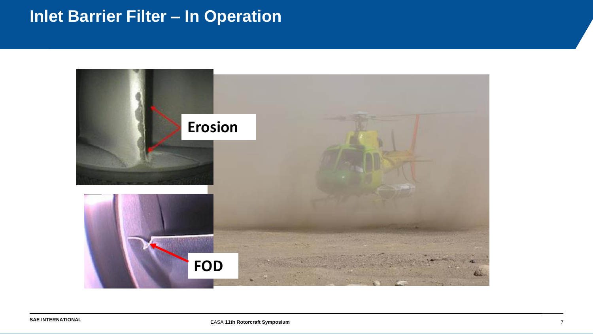# **Inlet Barrier Filter – In Operation**

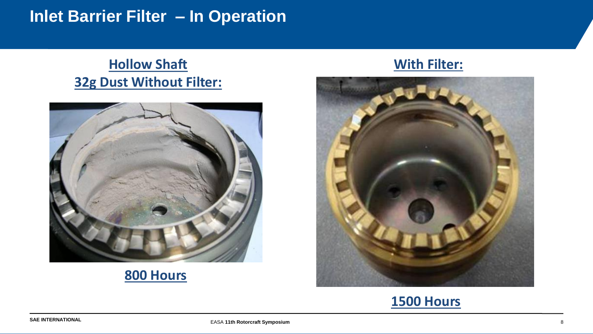## **Inlet Barrier Filter – In Operation**

#### **Hollow Shaft With Filter: 32g Dust Without Filter:**



#### **800 Hours**



#### **1500 Hours**

EASA **11th Rotorcraft Symposium** 8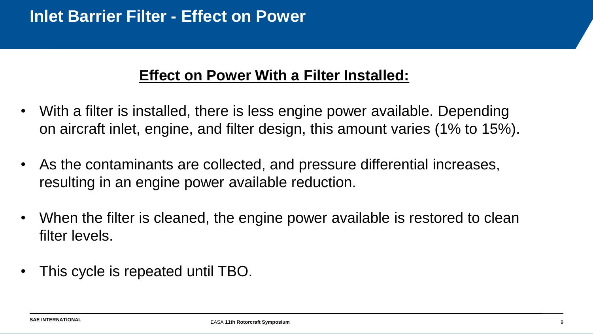#### **Effect on Power With a Filter Installed:**

- With a filter is installed, there is less engine power available. Depending on aircraft inlet, engine, and filter design, this amount varies (1% to 15%).
- As the contaminants are collected, and pressure differential increases, resulting in an engine power available reduction.
- When the filter is cleaned, the engine power available is restored to clean filter levels.
- This cycle is repeated until TBO.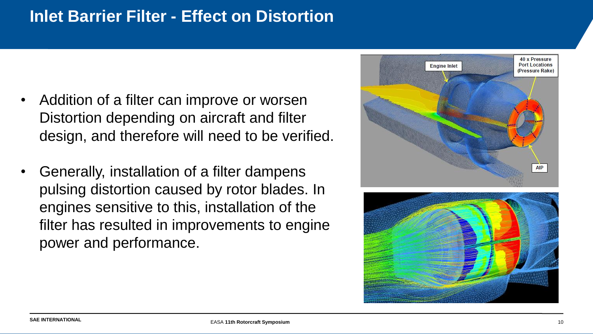## **Inlet Barrier Filter - Effect on Distortion**

- Addition of a filter can improve or worsen Distortion depending on aircraft and filter design, and therefore will need to be verified.
- Generally, installation of a filter dampens pulsing distortion caused by rotor blades. In engines sensitive to this, installation of the filter has resulted in improvements to engine power and performance.



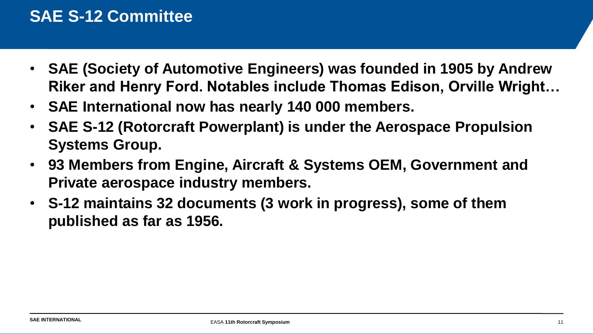## **SAE S-12 Committee**

- **SAE (Society of Automotive Engineers) was founded in 1905 by Andrew Riker and Henry Ford. Notables include Thomas Edison, Orville Wright…**
- **SAE International now has nearly 140 000 members.**
- **SAE S-12 (Rotorcraft Powerplant) is under the Aerospace Propulsion Systems Group.**
- **93 Members from Engine, Aircraft & Systems OEM, Government and Private aerospace industry members.**
- **S-12 maintains 32 documents (3 work in progress), some of them published as far as 1956.**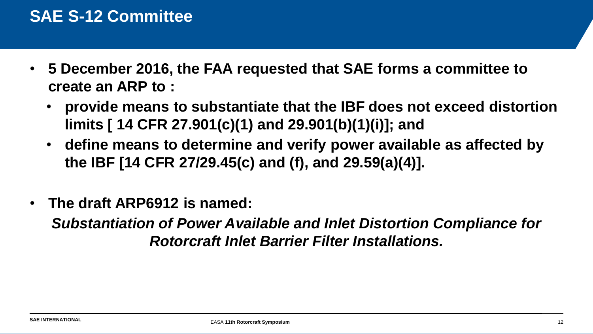#### **SAE S-12 Committee**

- **5 December 2016, the FAA requested that SAE forms a committee to create an ARP to :**
	- **provide means to substantiate that the IBF does not exceed distortion limits [ 14 CFR 27.901(c)(1) and 29.901(b)(1)(i)]; and**
	- **define means to determine and verify power available as affected by the IBF [14 CFR 27/29.45(c) and (f), and 29.59(a)(4)].**
- **The draft ARP6912 is named:**

*Substantiation of Power Available and Inlet Distortion Compliance for Rotorcraft Inlet Barrier Filter Installations.*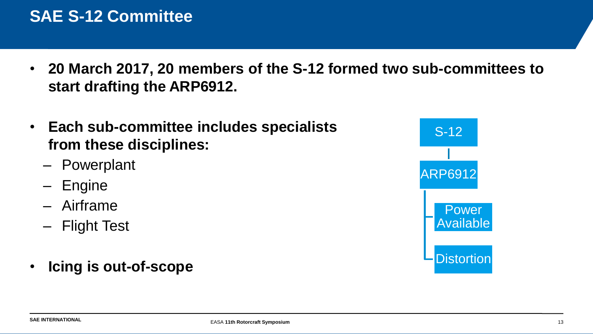## **SAE S-12 Committee**

- **20 March 2017, 20 members of the S-12 formed two sub-committees to start drafting the ARP6912.**
- **Each sub-committee includes specialists from these disciplines:** 
	- Powerplant
	- Engine
	- Airframe
	- Flight Test
- **Icing is out-of-scope**

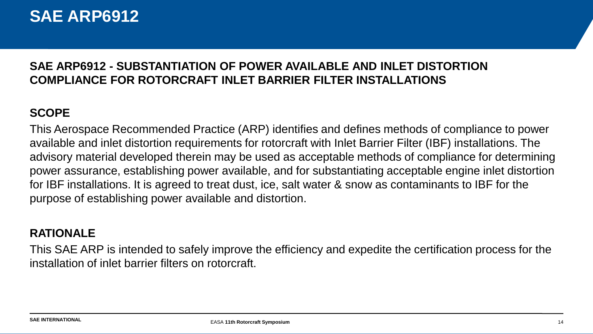#### **SAE ARP6912**

#### **SAE ARP6912 - SUBSTANTIATION OF POWER AVAILABLE AND INLET DISTORTION COMPLIANCE FOR ROTORCRAFT INLET BARRIER FILTER INSTALLATIONS**

#### **SCOPE**

This Aerospace Recommended Practice (ARP) identifies and defines methods of compliance to power available and inlet distortion requirements for rotorcraft with Inlet Barrier Filter (IBF) installations. The advisory material developed therein may be used as acceptable methods of compliance for determining power assurance, establishing power available, and for substantiating acceptable engine inlet distortion for IBF installations. It is agreed to treat dust, ice, salt water & snow as contaminants to IBF for the purpose of establishing power available and distortion.

#### **RATIONALE**

This SAE ARP is intended to safely improve the efficiency and expedite the certification process for the installation of inlet barrier filters on rotorcraft.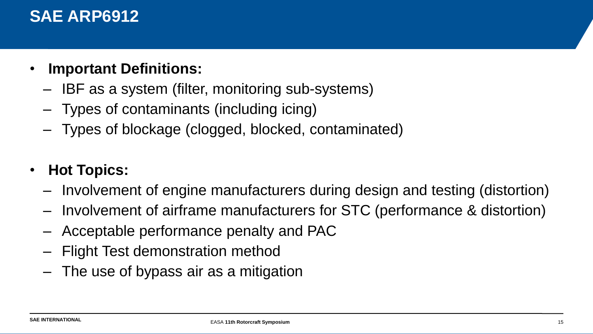#### **SAE ARP6912**

- **Important Definitions:**
	- IBF as a system (filter, monitoring sub-systems)
	- Types of contaminants (including icing)
	- Types of blockage (clogged, blocked, contaminated)

#### • **Hot Topics:**

- Involvement of engine manufacturers during design and testing (distortion)
- Involvement of airframe manufacturers for STC (performance & distortion)
- Acceptable performance penalty and PAC
- Flight Test demonstration method
- The use of bypass air as a mitigation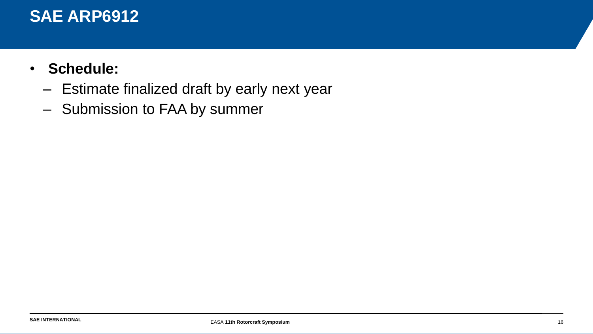#### **SAE ARP6912**

- **Schedule:**
	- Estimate finalized draft by early next year
	- Submission to FAA by summer